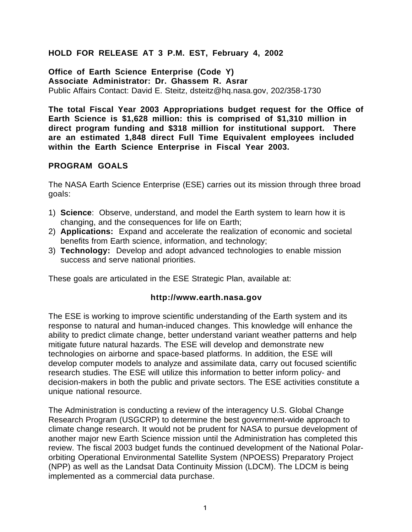### **HOLD FOR RELEASE AT 3 P.M. EST, February 4, 2002**

**Office of Earth Science Enterprise (Code Y) Associate Administrator: Dr. Ghassem R. Asrar** Public Affairs Contact: David E. Steitz, dsteitz@hq.nasa.gov, 202/358-1730

**The total Fiscal Year 2003 Appropriations budget request for the Office of Earth Science is \$1,628 million: this is comprised of \$1,310 million in direct program funding and \$318 million for institutional support. There are an estimated 1,848 direct Full Time Equivalent employees included within the Earth Science Enterprise in Fiscal Year 2003.**

### **PROGRAM GOALS**

The NASA Earth Science Enterprise (ESE) carries out its mission through three broad goals:

- 1) **Science**: Observe, understand, and model the Earth system to learn how it is changing, and the consequences for life on Earth;
- 2) **Applications:** Expand and accelerate the realization of economic and societal benefits from Earth science, information, and technology;
- 3) **Technology:** Develop and adopt advanced technologies to enable mission success and serve national priorities.

These goals are articulated in the ESE Strategic Plan, available at:

#### **http://www.earth.nasa.gov**

The ESE is working to improve scientific understanding of the Earth system and its response to natural and human-induced changes. This knowledge will enhance the ability to predict climate change, better understand variant weather patterns and help mitigate future natural hazards. The ESE will develop and demonstrate new technologies on airborne and space-based platforms. In addition, the ESE will develop computer models to analyze and assimilate data, carry out focused scientific research studies. The ESE will utilize this information to better inform policy- and decision-makers in both the public and private sectors. The ESE activities constitute a unique national resource.

The Administration is conducting a review of the interagency U.S. Global Change Research Program (USGCRP) to determine the best government-wide approach to climate change research. It would not be prudent for NASA to pursue development of another major new Earth Science mission until the Administration has completed this review. The fiscal 2003 budget funds the continued development of the National Polarorbiting Operational Environmental Satellite System (NPOESS) Preparatory Project (NPP) as well as the Landsat Data Continuity Mission (LDCM). The LDCM is being implemented as a commercial data purchase.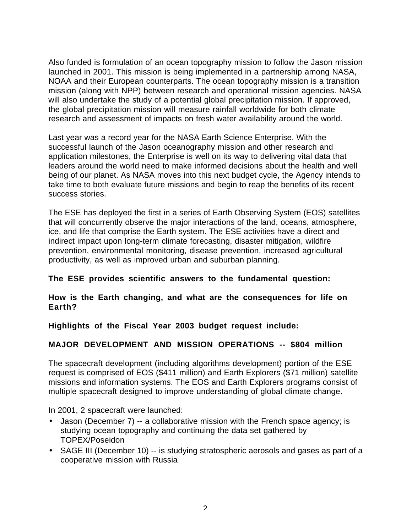Also funded is formulation of an ocean topography mission to follow the Jason mission launched in 2001. This mission is being implemented in a partnership among NASA, NOAA and their European counterparts. The ocean topography mission is a transition mission (along with NPP) between research and operational mission agencies. NASA will also undertake the study of a potential global precipitation mission. If approved, the global precipitation mission will measure rainfall worldwide for both climate research and assessment of impacts on fresh water availability around the world.

Last year was a record year for the NASA Earth Science Enterprise. With the successful launch of the Jason oceanography mission and other research and application milestones, the Enterprise is well on its way to delivering vital data that leaders around the world need to make informed decisions about the health and well being of our planet. As NASA moves into this next budget cycle, the Agency intends to take time to both evaluate future missions and begin to reap the benefits of its recent success stories.

The ESE has deployed the first in a series of Earth Observing System (EOS) satellites that will concurrently observe the major interactions of the land, oceans, atmosphere, ice, and life that comprise the Earth system. The ESE activities have a direct and indirect impact upon long-term climate forecasting, disaster mitigation, wildfire prevention, environmental monitoring, disease prevention, increased agricultural productivity, as well as improved urban and suburban planning.

## **The ESE provides scientific answers to the fundamental question:**

#### **How is the Earth changing, and what are the consequences for life on Earth?**

**Highlights of the Fiscal Year 2003 budget request include:**

## **MAJOR DEVELOPMENT AND MISSION OPERATIONS -- \$804 million**

The spacecraft development (including algorithms development) portion of the ESE request is comprised of EOS (\$411 million) and Earth Explorers (\$71 million) satellite missions and information systems. The EOS and Earth Explorers programs consist of multiple spacecraft designed to improve understanding of global climate change.

In 2001, 2 spacecraft were launched:

- Jason (December 7) -- a collaborative mission with the French space agency; is studying ocean topography and continuing the data set gathered by TOPEX/Poseidon
- SAGE III (December 10) -- is studying stratospheric aerosols and gases as part of a cooperative mission with Russia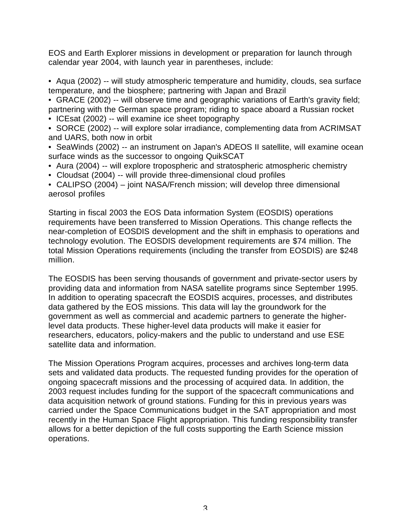EOS and Earth Explorer missions in development or preparation for launch through calendar year 2004, with launch year in parentheses, include:

• Aqua (2002) -- will study atmospheric temperature and humidity, clouds, sea surface temperature, and the biosphere; partnering with Japan and Brazil

• GRACE (2002) -- will observe time and geographic variations of Earth's gravity field; partnering with the German space program; riding to space aboard a Russian rocket

- ICEsat (2002) -- will examine ice sheet topography
- SORCE (2002) -- will explore solar irradiance, complementing data from ACRIMSAT and UARS, both now in orbit
- SeaWinds (2002) -- an instrument on Japan's ADEOS II satellite, will examine ocean surface winds as the successor to ongoing QuikSCAT
- Aura (2004) -- will explore tropospheric and stratospheric atmospheric chemistry
- Cloudsat (2004) -- will provide three-dimensional cloud profiles
- CALIPSO (2004) joint NASA/French mission; will develop three dimensional aerosol profiles

Starting in fiscal 2003 the EOS Data information System (EOSDIS) operations requirements have been transferred to Mission Operations. This change reflects the near-completion of EOSDIS development and the shift in emphasis to operations and technology evolution. The EOSDIS development requirements are \$74 million. The total Mission Operations requirements (including the transfer from EOSDIS) are \$248 million.

The EOSDIS has been serving thousands of government and private-sector users by providing data and information from NASA satellite programs since September 1995. In addition to operating spacecraft the EOSDIS acquires, processes, and distributes data gathered by the EOS missions. This data will lay the groundwork for the government as well as commercial and academic partners to generate the higherlevel data products. These higher-level data products will make it easier for researchers, educators, policy-makers and the public to understand and use ESE satellite data and information.

The Mission Operations Program acquires, processes and archives long-term data sets and validated data products. The requested funding provides for the operation of ongoing spacecraft missions and the processing of acquired data. In addition, the 2003 request includes funding for the support of the spacecraft communications and data acquisition network of ground stations. Funding for this in previous years was carried under the Space Communications budget in the SAT appropriation and most recently in the Human Space Flight appropriation. This funding responsibility transfer allows for a better depiction of the full costs supporting the Earth Science mission operations.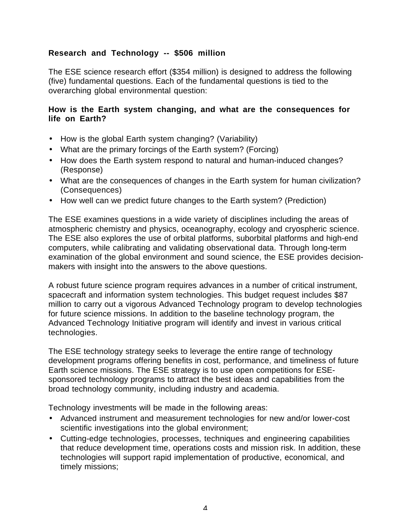# **Research and Technology -- \$506 million**

The ESE science research effort (\$354 million) is designed to address the following (five) fundamental questions. Each of the fundamental questions is tied to the overarching global environmental question:

### **How is the Earth system changing, and what are the consequences for life on Earth?**

- How is the global Earth system changing? (Variability)
- What are the primary forcings of the Earth system? (Forcing)
- How does the Earth system respond to natural and human-induced changes? (Response)
- What are the consequences of changes in the Earth system for human civilization? (Consequences)
- How well can we predict future changes to the Earth system? (Prediction)

The ESE examines questions in a wide variety of disciplines including the areas of atmospheric chemistry and physics, oceanography, ecology and cryospheric science. The ESE also explores the use of orbital platforms, suborbital platforms and high-end computers, while calibrating and validating observational data. Through long-term examination of the global environment and sound science, the ESE provides decisionmakers with insight into the answers to the above questions.

A robust future science program requires advances in a number of critical instrument, spacecraft and information system technologies. This budget request includes \$87 million to carry out a vigorous Advanced Technology program to develop technologies for future science missions. In addition to the baseline technology program, the Advanced Technology Initiative program will identify and invest in various critical technologies.

The ESE technology strategy seeks to leverage the entire range of technology development programs offering benefits in cost, performance, and timeliness of future Earth science missions. The ESE strategy is to use open competitions for ESEsponsored technology programs to attract the best ideas and capabilities from the broad technology community, including industry and academia.

Technology investments will be made in the following areas:

- Advanced instrument and measurement technologies for new and/or lower-cost scientific investigations into the global environment;
- Cutting-edge technologies, processes, techniques and engineering capabilities that reduce development time, operations costs and mission risk. In addition, these technologies will support rapid implementation of productive, economical, and timely missions;